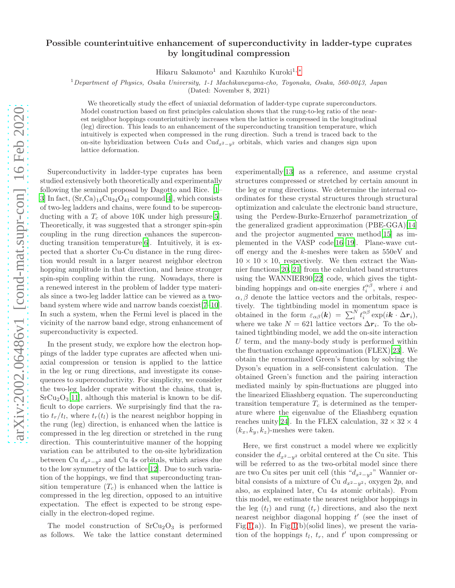## Possible counterintuitive enhancement of superconductivity in ladder-type cuprates by longitudinal compression

Hikaru Sakamoto<sup>1</sup> and Kazuhiko Kuroki<sup>1,[∗](#page-3-0)</sup>

 $1$ Department of Physics, Osaka University, 1-1 Machikaneyama-cho, Toyonaka, Osaka, 560-0043, Japan

(Dated: November 8, 2021)

We theoretically study the effect of uniaxial deformation of ladder-type cuprate superconductors. Model construction based on first principles calculation shows that the rung-to-leg ratio of the nearest neighbor hoppings counterintuitively increases when the lattice is compressed in the longitudinal (leg) direction. This leads to an enhancement of the superconducting transition temperature, which intuitively is expected when compressed in the rung direction. Such a trend is traced back to the on-site hybridization between Cu4s and Cud<sub>x2</sub><sub>-y</sub><sub>2</sub> orbitals, which varies and changes sign upon lattice deformation.

Superconductivity in ladder-type cuprates has been studied extensively both theoretically and experimentally following the seminal proposal by Dagotto and Rice. [\[1](#page-4-0)– [3](#page-4-1)] In fact,  $(Sr, Ca)_{14}Cu_{24}O_{41}$  compound [\[4](#page-4-2)], which consists of two-leg ladders and chains, were found to be superconducting with a  $T_c$  of above 10K under high pressure [\[5\]](#page-4-3). Theoretically, it was suggested that a stronger spin-spin coupling in the rung direction enhances the superconducting transition temperature[\[6\]](#page-4-4). Intuitively, it is expected that a shorter Cu-Cu distance in the rung direction would result in a larger nearest neighbor electron hopping amplitude in that direction, and hence stronger spin-spin coupling within the rung. Nowadays, there is a renewed interest in the problem of ladder type materials since a two-leg ladder lattice can be viewed as a twoband system where wide and narrow bands coexist[\[7](#page-4-5)[–10\]](#page-4-6). In such a system, when the Fermi level is placed in the vicinity of the narrow band edge, strong enhancement of superconductivity is expected.

In the present study, we explore how the electron hoppings of the ladder type cuprates are affected when uniaxial compression or tension is applied to the lattice in the leg or rung directions, and investigate its consequences to superconductivity. For simplicity, we consider the two-leg ladder cuprate without the chains, that is,  $SrCu<sub>2</sub>O<sub>3</sub>[11]$  $SrCu<sub>2</sub>O<sub>3</sub>[11]$ , although this material is known to be difficult to dope carriers. We surprisingly find that the ratio  $t_r/t_l$ , where  $t_r(t_l)$  is the nearest neighbor hopping in the rung (leg) direction, is enhanced when the lattice is compressed in the leg direction or stretched in the rung direction. This counterintuitive manner of the hopping variation can be attributed to the on-site hybridization between Cu  $d_{x^2-y^2}$  and Cu 4s orbitals, which arises due to the low symmetry of the lattice[\[12\]](#page-4-8). Due to such variation of the hoppings, we find that superconducting transition temperature  $(T_c)$  is enhanced when the lattice is compressed in the leg direction, opposed to an intuitive expectation. The effect is expected to be strong especially in the electron-doped regime.

The model construction of  $SrCu<sub>2</sub>O<sub>3</sub>$  is performed as follows. We take the lattice constant determined

experimentally[\[13\]](#page-4-9) as a reference, and assume crystal structures compressed or stretched by certain amount in the leg or rung directions. We determine the internal coordinates for these crystal structures through structural optimization and calculate the electronic band structure, using the Perdew-Burke-Ernzerhof parametrization of the generalized gradient approximation (PBE-GGA)[\[14](#page-4-10)] and the projector augmented wave method[\[15\]](#page-4-11) as implemented in the VASP code[\[16](#page-4-12)[–19\]](#page-4-13). Plane-wave cutoff energy and the k-meshes were taken as 550eV and  $10 \times 10 \times 10$ , respectively. We then extract the Wannier functions[\[20,](#page-4-14) [21\]](#page-4-15) from the calculated band structures using the WANNIER90[\[22](#page-4-16)] code, which gives the tightbinding hoppings and on-site energies  $t_i^{\alpha\beta}$ , where i and  $\alpha, \beta$  denote the lattice vectors and the orbitals, respectively. The tightbinding model in momentum space is obtained in the form  $\varepsilon_{\alpha\beta}(\mathbf{k}) = \sum_{i}^{N} t_i^{\alpha\beta} \exp(i\mathbf{k} \cdot \Delta \mathbf{r}_i),$ where we take  $N = 621$  lattice vectors  $\Delta r_i$ . To the obtained tightbinding model, we add the on-site interaction  $U$  term, and the many-body study is performed within the fluctuation exchange approximation (FLEX)[\[23\]](#page-4-17). We obtain the renormalized Green's function by solving the Dyson's equation in a self-consistent calculation. The obtained Green's function and the pairing interaction mediated mainly by spin-fluctuations are plugged into the linearized Eliashberg equation. The superconducting transition temperature  $T_c$  is determined as the temperature where the eigenvalue of the Eliashberg equation reaches unity[\[24](#page-4-18)]. In the FLEX calculation,  $32 \times 32 \times 4$  $(k_x, k_y, k_z)$ -meshes were taken.

Here, we first construct a model where we explicitly consider the  $d_{x^2-y^2}$  orbital centered at the Cu site. This will be referred to as the two-orbital model since there are two Cu sites per unit cell (this " $d_{x^2-y^2}$ " Wannier orbital consists of a mixture of Cu  $d_{x^2-y^2}$ , oxygen 2p, and also, as explained later, Cu 4s atomic orbitals). From this model, we estimate the nearest neighbor hoppings in the leg  $(t_l)$  and rung  $(t_r)$  directions, and also the next nearest neighbor diagonal hopping  $t'$  (see the inset of Fig[.1\(](#page-5-0)a)). In Fig.1(b)(solid lines), we present the variation of the hoppings  $t_l$ ,  $t_r$ , and  $t'$  upon compressing or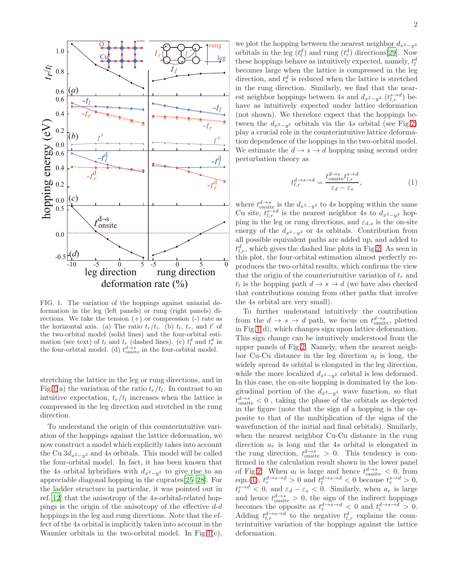

FIG. 1. The variation of the hoppings against uniaxial deformation in the leg (left panels) or rung (right panels) directions. We take the tension  $(+)$  or compression  $(-)$  rate as the horizontal axis. (a) The ratio  $t_r/t_l$ . (b)  $t_l$ ,  $t_r$ , and  $t'$  of the two-orbital model (solid lines) and the four-orbital estimation (see text) of  $t_l$  and  $t_r$  (dashed lines). (c)  $t_l^d$  and  $t_r^d$  in the four-orbital model. (d)  $t_{\text{onsite}}^{d \to s}$  in the four-orbital model.

stretching the lattice in the leg or rung directions, and in Fig[.1\(](#page-5-0)a) the variation of the ratio  $t_r/t_l$ . In contrast to an intuitive expectation,  $t_r/t_l$  increases when the lattice is compressed in the leg direction and stretched in the rung direction.

To understand the origin of this counterintuitive variation of the hoppings against the lattice deformation, we now construct a model which explicitly takes into account the Cu  $3d_{x^2-y^2}$  and 4s orbitals. This model will be called the four-orbital model. In fact, it has been known that the 4s orbital hybridizes with  $d_{x^2-y^2}$  to give rise to an appreciable diagonal hopping in the cuprates[\[25](#page-4-19)[–28\]](#page-4-20). For the ladder structure in particular, it was pointed out in ref.[\[12\]](#page-4-8) that the anisotropy of the 4s-orbital-related hoppings is the origin of the anisotropy of the effective  $d-d$ hoppings in the leg and rung directions. Note that the effect of the 4s orbital is implicitly taken into account in the Wannier orbitals in the two-orbital model. In Fig[.1\(](#page-5-0)c),

we plot the hopping between the nearest neighbor  $d_{x^2-y^2}$ orbitals in the leg  $(t_l^d)$  and rung  $(t_r^d)$  directions[\[29\]](#page-4-21). Now these hoppings behave as intuitively expected, namely,  $t_l^d$ becomes large when the lattice is compressed in the leg direction, and  $t_r^d$  is reduced when the lattice is stretched in the rung direction. Similarly, we find that the nearest neighbor hoppings between 4s and  $d_{x^2-y^2}$   $(t^{s\to d}_{l,r})$  behave as intuitively expected under lattice deformation (not shown). We therefore expect that the hoppings between the  $d_{x^2-y^2}$  orbitals via the 4s orbital (see Fig[.2\)](#page-5-1) play a crucial role in the counterintuitive lattice deformation dependence of the hoppings in the two-orbital model. We estimate the  $d \rightarrow s \rightarrow d$  hopping using second order perturbation theory as

<span id="page-1-0"></span>
$$
t_{l,r}^{d \to s \to d} = \frac{t_{\text{onsite}}^{d \to s} t_{l,r}^{s \to d}}{\varepsilon_d - \varepsilon_s},\tag{1}
$$

where  $t_{\text{onsite}}^{d \to s}$  is the  $d_{x^2-y^2}$  to 4s hopping within the same Cu site,  $t_{l,r}^{s\to d}$  is the nearest neighbor 4s to  $d_{x^2-y^2}$  hopping in the leg or rung directions, and  $\varepsilon_{d,s}$  is the on-site energy of the  $d_{x^2-y^2}$  or 4s orbitals. Contribution from all possible equivalent paths are added up, and added to  $t_{l,r}^d$ , which gives the dashed line plots in Fig[.2.](#page-5-1) As seen in this plot, the four-orbital estimation almost perfectly reproduces the two-orbital results, which confirms the view that the origin of the counterintuitive variation of  $t_r$  and  $t_l$  is the hopping path  $d \to s \to d$  (we have also checked that contributions coming from other paths that involve the 4s orbital are very small).

To further understand intuitively the contribution from the  $d \to s \to d$  path, we focus on  $t_{\text{onsite}}^{d \to s}$ , plotted in Fig[.1\(](#page-5-0)d), which changes sign upon lattice deformation. This sign change can be intuitively understood from the upper panels of Fig[.2.](#page-5-1) Namely, when the nearest neighbor Cu-Cu distance in the leg direction  $a_l$  is long, the widely spread 4s orbital is elongated in the leg direction, while the more localized  $d_{x^2-y^2}$  orbital is less deformed. In this case, the on-site hopping is dominated by the longitudinal portion of the  $d_{x^2-y^2}$  wave function, so that  $t_{\text{onsite}}^{d \to s} < 0$ , taking the phase of the orbitals as depicted in the figure (note that the sign of a hopping is the opposite to that of the multiplication of the signs of the wavefunction of the initial and final orbitals). Similarly, when the nearest neighbor Cu-Cu distance in the rung direction  $a_r$  is long and the 4s orbital is elongated in the rung direction,  $t_{\text{onsite}}^{d \rightarrow s} > 0$ . This tendency is confirmed in the calculation result shown in the lower panel of Fig[.2.](#page-5-1) When  $a_l$  is large and hence  $t_{\text{onsite}}^{d \to s} < 0$ , from eqn.[\(1\)](#page-1-0),  $t_r^{d \rightarrow s \rightarrow d} > 0$  and  $t_l^{d \rightarrow s \rightarrow d} < 0$  because  $t_r^{s \rightarrow d} > 0$ ,  $t_i^{s \to d} < 0$ , and  $\varepsilon_d - \varepsilon_s < 0$ . Similarly, when  $a_r$  is large and hence  $t_{\text{onsite}}^{d \to s} > 0$ , the sign of the indirect hoppings becomes the opposite as  $t_r^{d \to s \to d} < 0$  and  $t_l^{d \to s \to d} > 0$ . Adding  $t^{d\rightarrow s\rightarrow d}_{l,r}$  to the negative  $t^{d}_{l,r}$  explains the counterintuitive variation of the hoppings against the lattice deformation.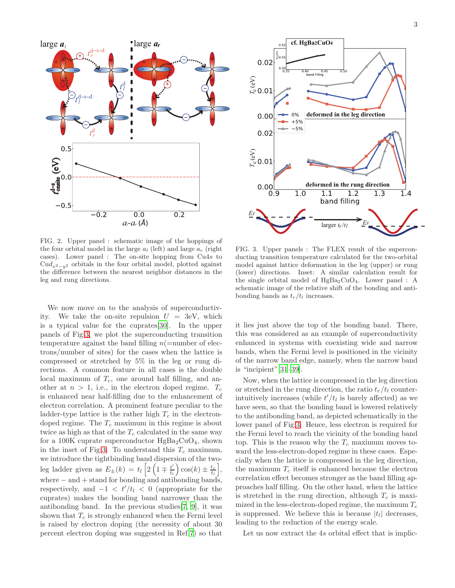

FIG. 2. Upper panel : schematic image of the hoppings of the four orbital model in the large  $a_l$  (left) and large  $a_r$  (right cases). Lower panel : The on-site hopping from Cu4s to  $Cud_{x^2-y^2}$  orbitals in the four orbital model, plotted against the difference between the nearest neighbor distances in the leg and rung directions.

We now move on to the analysis of superconductivity. We take the on-site repulsion  $U = 3eV$ , which is a typical value for the cuprates[\[30\]](#page-4-22). In the upper panels of Fig[.3,](#page-2-0) we plot the superconducting transition temperature against the band filling  $n(=$ number of electrons/number of sites) for the cases when the lattice is compressed or stretched by 5% in the leg or rung directions. A common feature in all cases is the double local maximum of  $T_c$ , one around half filling, and another at  $n > 1$ , i.e., in the electron doped regime.  $T_c$ is enhanced near half-filling due to the enhancement of electron correlation. A prominent feature peculiar to the ladder-type lattice is the rather high  $T_c$  in the electrondoped regime. The  $T_c$  maximum in this regime is about twice as high as that of the  $T_c$  calculated in the same way for a 100K cuprate superconductor  $HgBa<sub>2</sub>CuO<sub>4</sub>$ , shown in the inset of Fig[.3.](#page-2-0) To understand this  $T_c$  maximum, we introduce the tightbinding band dispersion of the twoleg ladder given as  $E_{\pm}(k) = t_l \left[ 2 \left( 1 \mp \frac{t'}{t} \right) \right]$  $\left(\frac{t'}{t_l}\right) \cos(k) \pm \frac{t_r}{t_l},$ where − and + stand for bonding and antibonding bands, respectively, and  $-1 < t'/t_l < 0$  (appropriate for the cuprates) makes the bonding band narrower than the antibonding band. In the previous studies[\[7,](#page-4-5) [9\]](#page-4-23), it was shown that  $T_c$  is strongly enhanced when the Fermi level is raised by electron doping (the necessity of about 30 percent electron doping was suggested in Ref[.7\)](#page-4-5) so that



<span id="page-2-0"></span>FIG. 3. Upper panels : The FLEX result of the superconducting transition temperature calculated for the two-orbital model against lattice deformation in the leg (upper) or rung (lower) directions. Inset: A similar calculation result for the single orbital model of  $HgBa_2CuO_4$ . Lower panel : A schematic image of the relative shift of the bonding and antibonding bands as  $t_r/t_l$  increases.

it lies just above the top of the bonding band. There, this was considered as an example of superconductivity enhanced in systems with coexisting wide and narrow bands, when the Fermi level is positioned in the vicinity of the narrow band edge, namely, when the narrow band is "incipient"[\[31](#page-4-24)[–39\]](#page-4-25).

Now, when the lattice is compressed in the leg direction or stretched in the rung direction, the ratio  $t_r/t_l$  counterintuitively increases (while  $t'/t_l$  is barely affected) as we have seen, so that the bonding band is lowered relatively to the antibonding band, as depicted schematically in the lower panel of Fig[.3.](#page-2-0) Hence, less electron is required for the Fermi level to reach the vicinity of the bonding band top. This is the reason why the  $T_c$  maximum moves toward the less-electron-doped regime in these cases. Especially when the lattice is compressed in the leg direction, the maximum  $T_c$  itself is enhanced because the electron correlation effect becomes stronger as the band filling approaches half filling. On the other hand, when the lattice is stretched in the rung direction, although  $T_c$  is maximized in the less-electron-doped regime, the maximum  $T_c$ is suppressed. We believe this is because  $|t<sub>l</sub>|$  decreases, leading to the reduction of the energy scale.

Let us now extract the 4s orbital effect that is implic-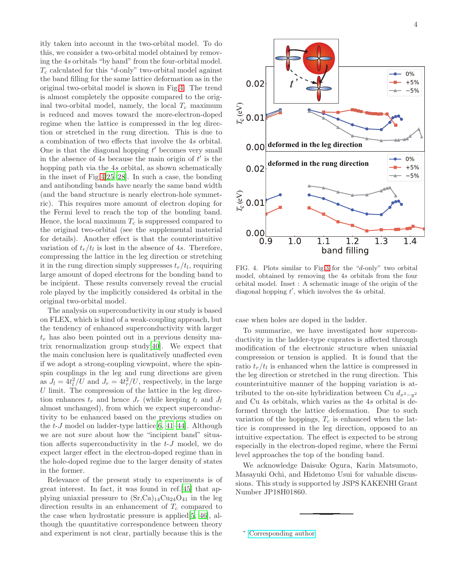itly taken into account in the two-orbital model. To do this, we consider a two-orbital model obtained by removing the 4s orbitals "by hand" from the four-orbital model.  $T_c$  calculated for this "d-only" two-orbital model against the band filling for the same lattice deformation as in the original two-orbital model is shown in Fig[.4.](#page-3-1) The trend is almost completely the opposite compared to the original two-orbital model, namely, the local  $T_c$  maximum is reduced and moves toward the more-electron-doped regime when the lattice is compressed in the leg direction or stretched in the rung direction. This is due to a combination of two effects that involve the 4s orbital. One is that the diagonal hopping  $t'$  becomes very small in the absence of  $4s$  because the main origin of  $t'$  is the hopping path via the 4s orbital, as shown schematically in the inset of Fig[.4](#page-3-1)[\[25](#page-4-19)[–28](#page-4-20)]. In such a case, the bonding and antibonding bands have nearly the same band width (and the band structure is nearly electron-hole symmetric). This requires more amount of electron doping for the Fermi level to reach the top of the bonding band. Hence, the local maximum  $T_c$  is suppressed compared to the original two-orbital (see the supplemental material for details). Another effect is that the counterintuitive variation of  $t_r/t_l$  is lost in the absence of 4s. Therefore, compressing the lattice in the leg direction or stretching it in the rung direction simply suppresses  $t_r/t_l$ , requiring large amount of doped electrons for the bonding band to be incipient. These results conversely reveal the crucial role played by the implicitly considered 4s orbital in the original two-orbital model.

The analysis on superconductivity in our study is based on FLEX, which is kind of a weak-coupling approach, but the tendency of enhanced superconductivity with larger  $t_r$  has also been pointed out in a previous density matrix renormalization group study[\[40](#page-4-26)]. We expect that the main conclusion here is qualitatively unaffected even if we adopt a strong-coupling viewpoint, where the spinspin couplings in the leg and rung directions are given as  $J_l = 4t_l^2/U$  and  $J_r = 4t_r^2/U$ , respectively, in the large  $U$  limit. The compression of the lattice in the leg direction enhances  $t_r$  and hence  $J_r$  (while keeping  $t_l$  and  $J_l$ almost unchanged), from which we expect superconductivity to be enhanced based on the previous studies on the  $t-J$  model on ladder-type lattice [\[6,](#page-4-4) [41](#page-4-27)[–44\]](#page-4-28). Although we are not sure about how the "incipient band" situation affects superconductivity in the  $t-J$  model, we do expect larger effect in the electron-doped regime than in the hole-doped regime due to the larger density of states in the former.

Relevance of the present study to experiments is of great interest. In fact, it was found in ref.[\[45](#page-4-29)] that applying uniaxial pressure to  $(Sr,Ca)_{14}Cu_{24}O_{41}$  in the leg direction results in an enhancement of  $T_c$  compared to the case when hydrostatic pressure is applied[\[5,](#page-4-3) [46\]](#page-4-30), although the quantitative correspondence between theory and experiment is not clear, partially because this is the



<span id="page-3-1"></span>FIG. 4. Plots similar to Fig[.3](#page-2-0) for the "d-only" two orbital model, obtained by removing the 4s orbitals from the four orbital model. Inset : A schematic image of the origin of the diagonal hopping  $t'$ , which involves the 4s orbital.

case when holes are doped in the ladder.

To summarize, we have investigated how superconductivity in the ladder-type cuprates is affected through modification of the electronic structure when uniaxial compression or tension is applied. It is found that the ratio  $t_r/t_l$  is enhanced when the lattice is compressed in the leg direction or stretched in the rung direction. This counterintuitive manner of the hopping variation is attributed to the on-site hybridization between Cu  $d_{x^2-y^2}$ and Cu 4s orbitals, which varies as the 4s orbital is deformed through the lattice deformation. Due to such variation of the hoppings,  $T_c$  is enhanced when the lattice is compressed in the leg direction, opposed to an intuitive expectation. The effect is expected to be strong especially in the electron-doped regime, where the Fermi level approaches the top of the bonding band.

We acknowledge Daisuke Ogura, Karin Matsumoto, Masayuki Ochi, and Hidetomo Usui for valuable discussions. This study is supported by JSPS KAKENHI Grant Number JP18H01860.

<span id="page-3-0"></span>[Corresponding author](mailto:Corresponding author)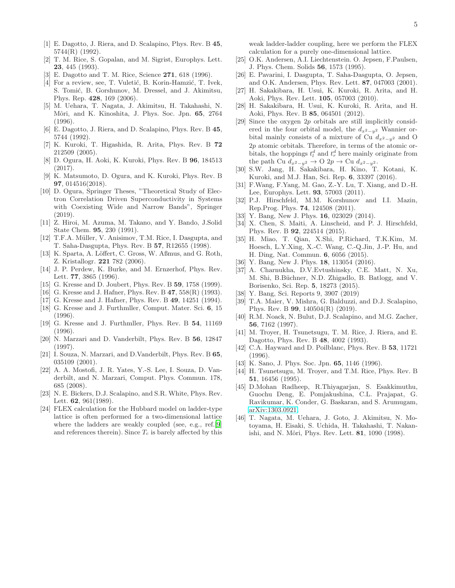- <span id="page-4-0"></span>[1] E. Dagotto, J. Riera, and D. Scalapino, Phys. Rev. B 45, 5744(R) (1992).
- [2] T. M. Rice, S. Gopalan, and M. Sigrist, Europhys. Lett. 23, 445 (1993).
- <span id="page-4-1"></span>E. Dagotto and T. M. Rice, Science 271, 618 (1996).
- <span id="page-4-2"></span>[4] For a review, see, T. Vuletić, B. Korin-Hamzić, T. Ivek, S. Tomić, B. Gorshunov, M. Dressel, and J. Akimitsu, Phys. Rep. 428, 169 (2006).
- <span id="page-4-3"></span>[5] M. Uehara, T. Nagata, J. Akimitsu, H. Takahashi, N. Môri, and K. Kinoshita, J. Phys. Soc. Jpn. 65, 2764  $(1996)$ .
- <span id="page-4-4"></span>[6] E. Dagotto, J. Riera, and D. Scalapino, Phys. Rev. B 45, 5744 (1992).
- <span id="page-4-5"></span>[7] K. Kuroki, T. Higashida, R. Arita, Phys. Rev. B 72 212509 (2005).
- [8] D. Ogura, H. Aoki, K. Kuroki, Phys. Rev. B 96, 184513 (2017).
- <span id="page-4-23"></span>[9] K. Matsumoto, D. Ogura, and K. Kuroki, Phys. Rev. B 97, 014516(2018).
- <span id="page-4-6"></span>[10] D. Ogura, Springer Theses, "Theoretical Study of Electron Correlation Driven Superconductivity in Systems with Coexisting Wide and Narrow Bands", Springer (2019).
- <span id="page-4-7"></span>[11] Z. Hiroi, M. Azuma, M. Takano, and Y. Bando, J.Solid State Chem. 95, 230 (1991).
- <span id="page-4-8"></span>[12] T.F.A. Müller, V. Anisimov, T.M. Rice, I. Dasgupta, and T. Saha-Dasgupta, Phys. Rev. B 57, R12655 (1998).
- <span id="page-4-9"></span>[13] K. Sparta, A. Löffert, C. Gross, W. Aßmus, and G. Roth, Z. Kristallogr. 221 782 (2006).
- <span id="page-4-10"></span>[14] J. P. Perdew, K. Burke, and M. Ernzerhof, Phys. Rev. Lett. 77, 3865 (1996).
- <span id="page-4-11"></span>[15] G. Kresse and D. Joubert, Phys. Rev. B **59**, 1758 (1999).
- <span id="page-4-12"></span>[16] G. Kresse and J. Hafner, Phys. Rev. B 47, 558(R) (1993).
- [17] G. Kresse and J. Hafner, Phys. Rev. B 49, 14251 (1994). [18] G. Kresse and J. Furthmller, Comput. Mater. Sci. 6, 15
- (1996).
- <span id="page-4-13"></span>[19] G. Kresse and J. Furthmller, Phys. Rev. B 54, 11169 (1996).
- <span id="page-4-14"></span>[20] N. Marzari and D. Vanderbilt, Phys. Rev. B 56, 12847 (1997).
- <span id="page-4-15"></span>[21] I. Souza, N. Marzari, and D.Vanderbilt, Phys. Rev. B 65, 035109 (2001).
- <span id="page-4-16"></span>[22] A. A. Mostofi, J. R. Yates, Y.-S. Lee, I. Souza, D. Vanderbilt, and N. Marzari, Comput. Phys. Commun. 178, 685 (2008).
- <span id="page-4-17"></span>[23] N. E. Bickers, D.J. Scalapino, and S.R. White, Phys. Rev. Lett. 62, 961(1989).
- <span id="page-4-18"></span>[24] FLEX calculation for the Hubbard model on ladder-type lattice is often performed for a two-dimensional lattice where the ladders are weakly coupled (see, e.g., ref.[\[9](#page-4-23)] and references therein). Since  $T_c$  is barely affected by this

weak ladder-ladder coupling, here we perform the FLEX calculation for a purely one-dimensional lattice.

- <span id="page-4-19"></span>[25] O.K. Andersen, A.I. Liechtenstein. O. Jepsen, F.Paulsen, J. Phys. Chem. Solids 56, 1573 (1995).
- [26] E. Pavarini, I. Dasgupta, T. Saha-Dasgupta, O. Jepsen, and O.K. Andersen, Phys. Rev. Lett. 87, 047003 (2001).
- [27] H. Sakakibara, H. Usui, K. Kuroki, R. Arita, and H. Aoki, Phys. Rev. Lett. 105, 057003 (2010).
- <span id="page-4-20"></span>[28] H. Sakakibara, H. Usui, K. Kuroki, R. Arita, and H. Aoki, Phys. Rev. B 85, 064501 (2012).
- <span id="page-4-21"></span>[29] Since the oxygen 2p orbitals are still implicitly considered in the four orbital model, the  $d_{x^2-y^2}$  Wannier orbital mainly consists of a mixture of Cu  $d_{x^2-y^2}$  and O 2p atomic orbitals. Therefore, in terms of the atomic orbitals, the hoppings  $t_l^d$  and  $t_r^d$  here mainly originate from the path Cu  $d_{x^2-y^2} \to$  O 2p  $\to$  Cu  $d_{x^2-y^2}$ .
- <span id="page-4-22"></span>[30] S.W. Jang, H. Sakakibara, H. Kino, T. Kotani, K. Kuroki, and M.J. Han, Sci. Rep. 6, 33397 (2016).
- <span id="page-4-24"></span>[31] F.Wang, F.Yang, M. Gao, Z.-Y. Lu, T. Xiang, and D.-H. Lee, Europhys. Lett. 93, 57003 (2011).
- [32] P.J. Hirschfeld, M.M. Korshunov and I.I. Mazin, Rep.Prog. Phys. 74, 124508 (2011).
- [33] Y. Bang, New J. Phys. **16**, 023029 (2014).
- [34] X. Chen, S. Maiti, A. Linscheid, and P. J. Hirschfeld, Phys. Rev. B 92, 224514 (2015).
- [35] H. Miao, T. Qian, X.Shi, P.Richard, T.K.Kim, M. Hoesch, L.Y.Xing, X.-C. Wang, C.-Q.Jin, J.-P. Hu, and H. Ding, Nat. Commun. 6, 6056 (2015).
- [36] Y. Bang, New J. Phys. **18**, 113054 (2016).
- [37] A. Charnukha, D.V.Evtushinsky, C.E. Matt, N. Xu, M. Shi, B.B¨uchner, N.D. Zhigadlo, B. Batlogg, and V. Borisenko, Sci. Rep. 5, 18273 (2015).
- [38] Y. Bang, Sci. Reports 9, 3907 (2019)<br>[39] T.A. Maier, V. Mishra, G. Balduzzi,
- <span id="page-4-25"></span>T.A. Maier, V. Mishra, G. Balduzzi, and D.J. Scalapino, Phys. Rev. B 99, 140504(R) (2019).
- <span id="page-4-26"></span>[40] R.M. Noack, N. Bulut, D.J. Scalapino, and M.G. Zacher, 56, 7162 (1997).
- <span id="page-4-27"></span>[41] M. Troyer, H. Tsunetsugu, T. M. Rice, J. Riera, and E. Dagotto, Phys. Rev. B 48, 4002 (1993).
- [42] C.A. Hayward and D. Poilblanc, Phys. Rev. B 53, 11721 (1996).
- [43] K. Sano, J. Phys. Soc. Jpn. 65, 1146 (1996).
- <span id="page-4-28"></span>[44] H. Tsunetsugu, M. Troyer, and T.M. Rice, Phys. Rev. B 51, 16456 (1995).
- <span id="page-4-29"></span>[45] D.Mohan Radheep, R.Thiyagarjan, S. Esakkimuthu, Guochu Deng, E. Pomjakushina, C.L. Prajapat, G. Ravikumar, K. Conder, G. Baskaran, and S. Arumugam, [arXiv:1303.0921.](http://arxiv.org/abs/1303.0921)
- <span id="page-4-30"></span>[46] T. Nagata, M. Uehara, J. Goto, J. Akimitsu, N. Motoyama, H. Eisaki, S. Uchida, H. Takahashi, T. Nakanishi, and N. Môri, Phys. Rev. Lett. **81**, 1090 (1998).